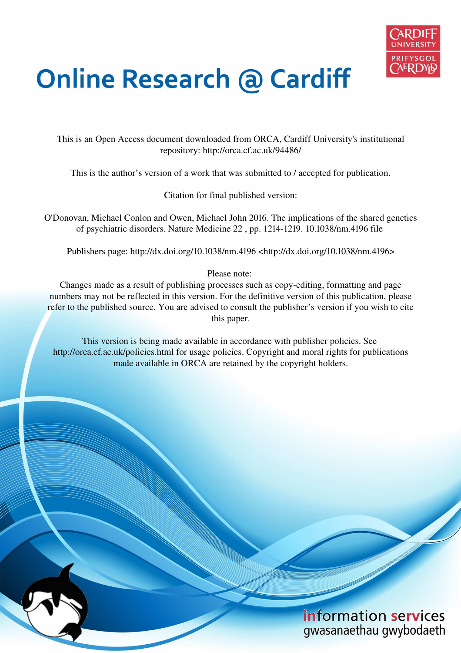

# **Online Research @ Cardiff**

This is an Open Access document downloaded from ORCA, Cardiff University's institutional repository: http://orca.cf.ac.uk/94486/

This is the author's version of a work that was submitted to / accepted for publication.

Citation for final published version:

O'Donovan, Michael Conlon and Owen, Michael John 2016. The implications of the shared genetics of psychiatric disorders. Nature Medicine 22 , pp. 1214-1219. 10.1038/nm.4196 file

Publishers page: http://dx.doi.org/10.1038/nm.4196 <http://dx.doi.org/10.1038/nm.4196>

Please note:

Changes made as a result of publishing processes such as copy-editing, formatting and page numbers may not be reflected in this version. For the definitive version of this publication, please refer to the published source. You are advised to consult the publisher's version if you wish to cite this paper.

This version is being made available in accordance with publisher policies. See http://orca.cf.ac.uk/policies.html for usage policies. Copyright and moral rights for publications made available in ORCA are retained by the copyright holders.

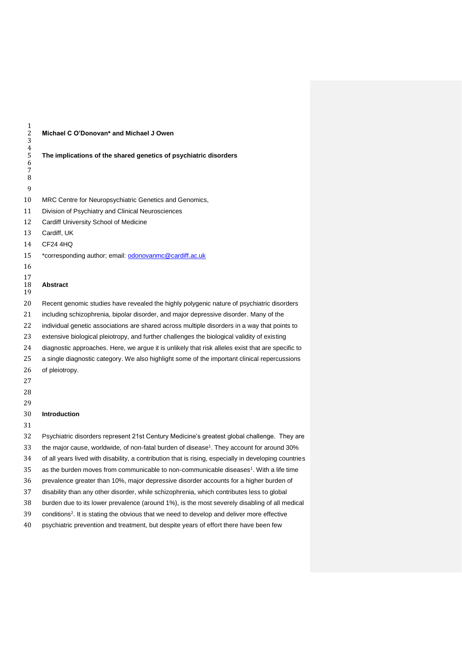| $\mathbf{1}$<br>$\overline{c}$<br>3<br>$\overline{4}$ | Michael C O'Donovan* and Michael J Owen                                                                |  |  |
|-------------------------------------------------------|--------------------------------------------------------------------------------------------------------|--|--|
| 5<br>6<br>7<br>8                                      | The implications of the shared genetics of psychiatric disorders                                       |  |  |
| 9                                                     |                                                                                                        |  |  |
| 10                                                    | MRC Centre for Neuropsychiatric Genetics and Genomics,                                                 |  |  |
| 11                                                    | Division of Psychiatry and Clinical Neurosciences                                                      |  |  |
| 12                                                    | Cardiff University School of Medicine                                                                  |  |  |
| 13                                                    | Cardiff, UK                                                                                            |  |  |
| 14                                                    | CF24 4HQ                                                                                               |  |  |
| 15                                                    | *corresponding author; email: odonovanmc@cardiff.ac.uk                                                 |  |  |
| 16<br>17<br>18<br>19                                  | Abstract                                                                                               |  |  |
| 20                                                    | Recent genomic studies have revealed the highly polygenic nature of psychiatric disorders              |  |  |
| 21                                                    | including schizophrenia, bipolar disorder, and major depressive disorder. Many of the                  |  |  |
| 22                                                    | individual genetic associations are shared across multiple disorders in a way that points to           |  |  |
| 23                                                    | extensive biological pleiotropy, and further challenges the biological validity of existing            |  |  |
| 24                                                    | diagnostic approaches. Here, we argue it is unlikely that risk alleles exist that are specific to      |  |  |
| 25                                                    | a single diagnostic category. We also highlight some of the important clinical repercussions           |  |  |
| 26                                                    | of pleiotropy.                                                                                         |  |  |
| 27                                                    |                                                                                                        |  |  |
| 28                                                    |                                                                                                        |  |  |
| 29                                                    |                                                                                                        |  |  |
| 30                                                    | <b>Introduction</b>                                                                                    |  |  |
| 31                                                    |                                                                                                        |  |  |
| 32                                                    | Psychiatric disorders represent 21st Century Medicine's greatest global challenge. They are            |  |  |
| 33                                                    | the major cause, worldwide, of non-fatal burden of disease <sup>1</sup> . They account for around 30%  |  |  |
| 34                                                    | of all years lived with disability, a contribution that is rising, especially in developing countries  |  |  |
| 35                                                    | as the burden moves from communicable to non-communicable diseases <sup>1</sup> . With a life time     |  |  |
| 36                                                    | prevalence greater than 10%, major depressive disorder accounts for a higher burden of                 |  |  |
| 37                                                    | disability than any other disorder, while schizophrenia, which contributes less to global              |  |  |
| 38                                                    | burden due to its lower prevalence (around 1%), is the most severely disabling of all medical          |  |  |
| 39                                                    | conditions <sup>2</sup> . It is stating the obvious that we need to develop and deliver more effective |  |  |
| 40                                                    | psychiatric prevention and treatment, but despite years of effort there have been few                  |  |  |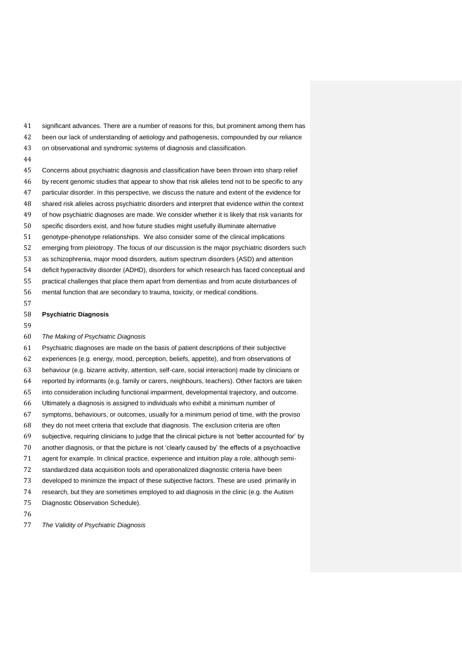significant advances. There are a number of reasons for this, but prominent among them has been our lack of understanding of aetiology and pathogenesis, compounded by our reliance on observational and syndromic systems of diagnosis and classification. 

 Concerns about psychiatric diagnosis and classification have been thrown into sharp relief by recent genomic studies that appear to show that risk alleles tend not to be specific to any particular disorder. In this perspective, we discuss the nature and extent of the evidence for shared risk alleles across psychiatric disorders and interpret that evidence within the context

- specific disorders exist, and how future studies might usefully illuminate alternative
- genotype-phenotype relationships. We also consider some of the clinical implications
- emerging from pleiotropy. The focus of our discussion is the major psychiatric disorders such

of how psychiatric diagnoses are made. We consider whether it is likely that risk variants for

- as schizophrenia, major mood disorders, autism spectrum disorders (ASD) and attention
- deficit hyperactivity disorder (ADHD), disorders for which research has faced conceptual and
- practical challenges that place them apart from dementias and from acute disturbances of
- mental function that are secondary to trauma, toxicity, or medical conditions.
- 

#### **Psychiatric Diagnosis**

#### The Making of Psychiatric Diagnosis

 Psychiatric diagnoses are made on the basis of patient descriptions of their subjective experiences (e.g. energy, mood, perception, beliefs, appetite), and from observations of behaviour (e.g. bizarre activity, attention, self-care, social interaction) made by clinicians or reported by informants (e.g. family or carers, neighbours, teachers). Other factors are taken into consideration including functional impairment, developmental trajectory, and outcome. Ultimately a diagnosis is assigned to individuals who exhibit a minimum number of symptoms, behaviours, or outcomes, usually for a minimum period of time, with the proviso they do not meet criteria that exclude that diagnosis. The exclusion criteria are often subjective, requiring clinicians to judge that the clinical picture is not 'better accounted for' by another diagnosis, or that the picture is not 'clearly caused by' the effects of a psychoactive agent for example. In clinical practice, experience and intuition play a role, although semi- standardized data acquisition tools and operationalized diagnostic criteria have been developed to minimize the impact of these subjective factors. These are used primarily in research, but they are sometimes employed to aid diagnosis in the clinic (e.g. the Autism Diagnostic Observation Schedule).

The Validity of Psychiatric Diagnosis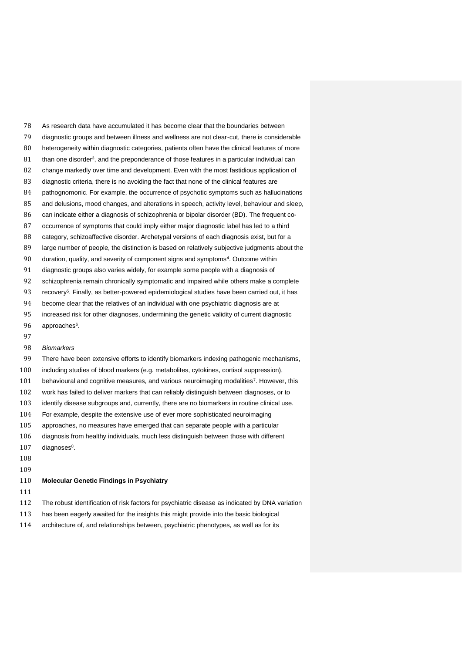As research data have accumulated it has become clear that the boundaries between diagnostic groups and between illness and wellness are not clear-cut, there is considerable heterogeneity within diagnostic categories, patients often have the clinical features of more than one disorder<sup>3</sup>, and the preponderance of those features in a particular individual can change markedly over time and development. Even with the most fastidious application of diagnostic criteria, there is no avoiding the fact that none of the clinical features are pathognomonic. For example, the occurrence of psychotic symptoms such as hallucinations and delusions, mood changes, and alterations in speech, activity level, behaviour and sleep, can indicate either a diagnosis of schizophrenia or bipolar disorder (BD). The frequent co- occurrence of symptoms that could imply either major diagnostic label has led to a third 88 category, schizoaffective disorder. Archetypal versions of each diagnosis exist, but for a large number of people, the distinction is based on relatively subjective judgments about the 90 duration, quality, and severity of component signs and symptoms<sup>4</sup>. Outcome within diagnostic groups also varies widely, for example some people with a diagnosis of schizophrenia remain chronically symptomatic and impaired while others make a complete 93 recovery<sup>5</sup>. Finally, as better-powered epidemiological studies have been carried out, it has become clear that the relatives of an individual with one psychiatric diagnosis are at increased risk for other diagnoses, undermining the genetic validity of current diagnostic 96 approaches<sup>6</sup>. Biomarkers

 There have been extensive efforts to identify biomarkers indexing pathogenic mechanisms, including studies of blood markers (e.g. metabolites, cytokines, cortisol suppression), 101 behavioural and cognitive measures, and various neuroimaging modalities<sup>7</sup>. However, this work has failed to deliver markers that can reliably distinguish between diagnoses, or to identify disease subgroups and, currently, there are no biomarkers in routine clinical use. For example, despite the extensive use of ever more sophisticated neuroimaging approaches, no measures have emerged that can separate people with a particular diagnosis from healthy individuals, much less distinguish between those with different diagnoses $8$ . **Molecular Genetic Findings in Psychiatry** 

- The robust identification of risk factors for psychiatric disease as indicated by DNA variation
- has been eagerly awaited for the insights this might provide into the basic biological
- architecture of, and relationships between, psychiatric phenotypes, as well as for its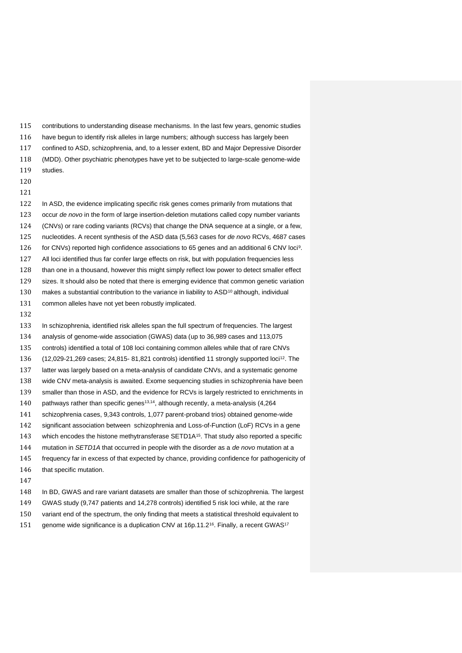contributions to understanding disease mechanisms. In the last few years, genomic studies have begun to identify risk alleles in large numbers; although success has largely been confined to ASD, schizophrenia, and, to a lesser extent, BD and Major Depressive Disorder (MDD). Other psychiatric phenotypes have yet to be subjected to large-scale genome-wide studies. 

#### 

 In ASD, the evidence implicating specific risk genes comes primarily from mutations that 123 occur de novo in the form of large insertion-deletion mutations called copy number variants (CNVs) or rare coding variants (RCVs) that change the DNA sequence at a single, or a few, 125 nucleotides. A recent synthesis of the ASD data (5.563 cases for de novo RCVs, 4687 cases 126 for CNVs) reported high confidence associations to 65 genes and an additional 6 CNV loci<sup>9</sup>. All loci identified thus far confer large effects on risk, but with population frequencies less than one in a thousand, however this might simply reflect low power to detect smaller effect sizes. It should also be noted that there is emerging evidence that common genetic variation 130 makes a substantial contribution to the variance in liability to ASD<sup>10</sup> although, individual common alleles have not yet been robustly implicated.

#### 

 In schizophrenia, identified risk alleles span the full spectrum of frequencies. The largest analysis of genome-wide association (GWAS) data (up to 36,989 cases and 113,075 controls) identified a total of 108 loci containing common alleles while that of rare CNVs 136 (12,029-21,269 cases; 24,815- 81,821 controls) identified 11 strongly supported loci<sup>12</sup>. The latter was largely based on a meta-analysis of candidate CNVs, and a systematic genome wide CNV meta-analysis is awaited. Exome sequencing studies in schizophrenia have been smaller than those in ASD, and the evidence for RCVs is largely restricted to enrichments in 140 pathways rather than specific genes<sup>13,14</sup>, although recently, a meta-analysis (4,264 schizophrenia cases, 9,343 controls, 1,077 parent-proband trios) obtained genome-wide significant association between schizophrenia and Loss-of-Function (LoF) RCVs in a gene 143 which encodes the histone methytransferase SETD1A<sup>15</sup>. That study also reported a specific 144 mutation in SETD1A that occurred in people with the disorder as a de novo mutation at a frequency far in excess of that expected by chance, providing confidence for pathogenicity of 146 that specific mutation.

| 148 | In BD, GWAS and rare variant datasets are smaller than those of schizophrenia. The largest                     |
|-----|----------------------------------------------------------------------------------------------------------------|
| 149 | GWAS study (9.747 patients and 14.278 controls) identified 5 risk loci while, at the rare                      |
| 150 | variant end of the spectrum, the only finding that meets a statistical threshold equivalent to                 |
| 151 | genome wide significance is a duplication CNV at 16p.11.2 <sup>16</sup> . Finally, a recent GWAS <sup>17</sup> |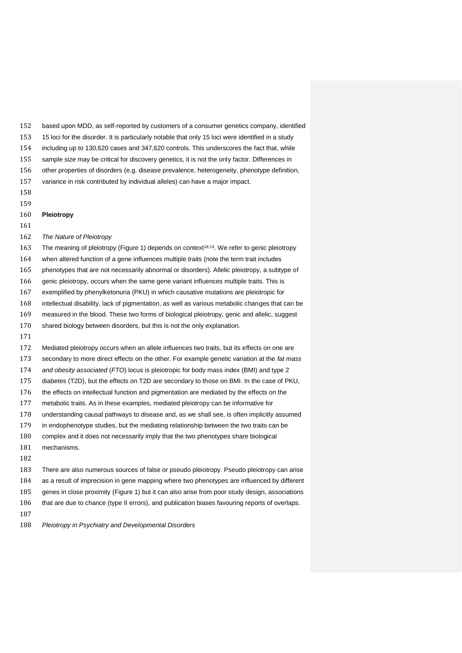based upon MDD, as self-reported by customers of a consumer genetics company, identified 15 loci for the disorder. It is particularly notable that only 15 loci were identified in a study including up to 130,620 cases and 347,620 controls. This underscores the fact that, while sample size may be critical for discovery genetics, it is not the only factor. Differences in other properties of disorders (e.g. disease prevalence, heterogeneity, phenotype definition, variance in risk contributed by individual alleles) can have a major impact. **Pleiotropy**  162 The Nature of Pleiotropy 163 The meaning of pleiotropy (Figure 1) depends on context<sup>18,19</sup>. We refer to genic pleiotropy when altered function of a gene influences multiple traits (note the term trait includes phenotypes that are not necessarily abnormal or disorders). Allelic pleiotropy, a subtype of genic pleiotropy, occurs when the same gene variant influences multiple traits. This is exemplified by phenylketonuria (PKU) in which causative mutations are pleiotropic for intellectual disability, lack of pigmentation, as well as various metabolic changes that can be measured in the blood. These two forms of biological pleiotropy, genic and allelic, suggest shared biology between disorders, but this is not the only explanation. Mediated pleiotropy occurs when an allele influences two traits, but its effects on one are 173 secondary to more direct effects on the other. For example genetic variation at the fat mass 174 and obesity associated (FTO) locus is pleiotropic for body mass index (BMI) and type 2 diabetes (T2D), but the effects on T2D are secondary to those on BMI. In the case of PKU, the effects on intellectual function and pigmentation are mediated by the effects on the metabolic traits. As in these examples, mediated pleiotropy can be informative for understanding causal pathways to disease and, as we shall see, is often implicitly assumed in endophenotype studies, but the mediating relationship between the two traits can be complex and it does not necessarily imply that the two phenotypes share biological mechanisms. There are also numerous sources of false or pseudo pleiotropy. Pseudo pleiotropy can arise as a result of imprecision in gene mapping where two phenotypes are influenced by different genes in close proximity (Figure 1) but it can also arise from poor study design, associations

that are due to chance (type II errors), and publication biases favouring reports of overlaps.

188 Pleiotropy in Psychiatry and Developmental Disorders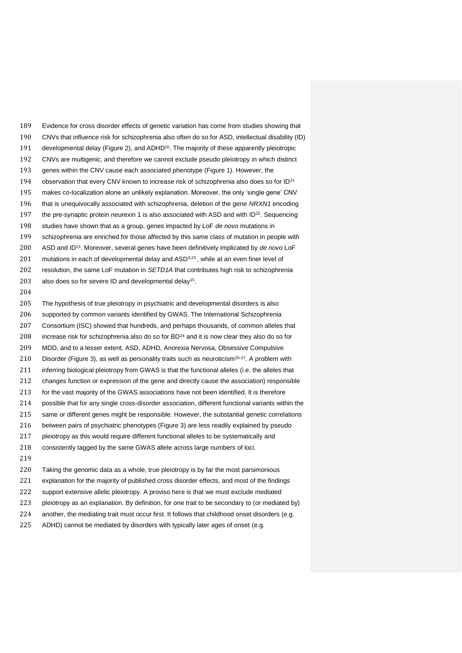Evidence for cross disorder effects of genetic variation has come from studies showing that CNVs that influence risk for schizophrenia also often do so for ASD, intellectual disability (ID) 191 developmental delay (Figure 2), and ADHD<sup>20</sup>. The majority of these apparently pleiotropic CNVs are multigenic, and therefore we cannot exclude pseudo pleiotropy in which distinct genes within the CNV cause each associated phenotype (Figure 1). However, the 194 observation that every CNV known to increase risk of schizophrenia also does so for  $ID^{21}$  makes co-localization alone an unlikely explanation. Moreover, the only 'single gene' CNV 196 that is unequivocally associated with schizophrenia, deletion of the gene NRXN1 encoding 197 the pre-synaptic protein neurexin 1 is also associated with ASD and with  $ID^{22}$ . Sequencing 198 studies have shown that as a group, genes impacted by LoF de novo mutations in schizophrenia are enriched for those affected by this same class of mutation in people with 200 ASD and ID<sup>13</sup>. Moreover, several genes have been definitively implicated by de novo LoF 201 mutations in each of developmental delay and  $ASD<sup>9,23</sup>$ , while at an even finer level of 202 resolution, the same LoF mutation in SETD1A that contributes high risk to schizophrenia 203 also does so for severe ID and developmental delay<sup>15</sup>. 

 The hypothesis of true pleiotropy in psychiatric and developmental disorders is also supported by common variants identified by GWAS. The International Schizophrenia Consortium (ISC) showed that hundreds, and perhaps thousands, of common alleles that 208 increase risk for schizophrenia also do so for  $BD^{24}$  and it is now clear they also do so for MDD, and to a lesser extent, ASD, ADHD, Anorexia Nervosa, Obsessive Compulsive 210 Disorder (Figure 3), as well as personality traits such as neuroticism<sup>25-27</sup>. A problem with inferring biological pleiotropy from GWAS is that the functional alleles (i.e. the alleles that changes function or expression of the gene and directly cause the association) responsible for the vast majority of the GWAS associations have not been identified. It is therefore possible that for any single cross-disorder association, different functional variants within the same or different genes might be responsible. However, the substantial genetic correlations between pairs of psychiatric phenotypes (Figure 3) are less readily explained by pseudo pleiotropy as this would require different functional alleles to be systematically and consistently tagged by the same GWAS allele across large numbers of loci. Taking the genomic data as a whole, true pleiotropy is by far the most parsimonious explanation for the majority of published cross disorder effects, and most of the findings

support extensive allelic pleiotropy. A proviso here is that we must exclude mediated

pleiotropy as an explanation. By definition, for one trait to be secondary to (or mediated by)

another, the mediating trait must occur first. It follows that childhood onset disorders (e.g.

ADHD) cannot be mediated by disorders with typically later ages of onset (e.g.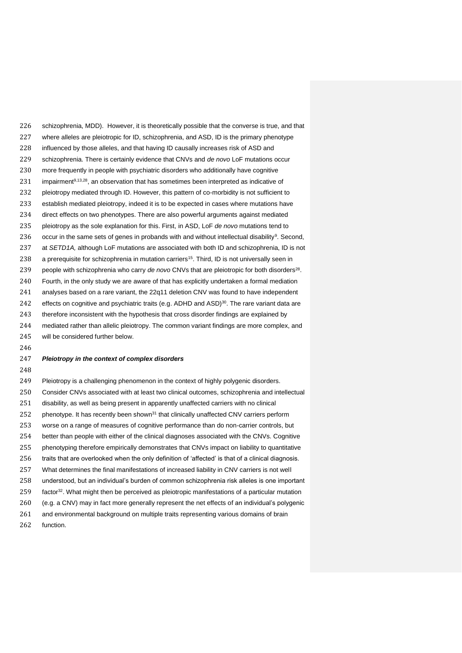schizophrenia, MDD). However, it is theoretically possible that the converse is true, and that where alleles are pleiotropic for ID, schizophrenia, and ASD, ID is the primary phenotype influenced by those alleles, and that having ID causally increases risk of ASD and 229 schizophrenia. There is certainly evidence that CNVs and de novo LoF mutations occur more frequently in people with psychiatric disorders who additionally have cognitive 231 impairment<sup>9,13,28</sup>, an observation that has sometimes been interpreted as indicative of pleiotropy mediated through ID. However, this pattern of co-morbidity is not sufficient to establish mediated pleiotropy, indeed it is to be expected in cases where mutations have direct effects on two phenotypes. There are also powerful arguments against mediated 235 pleiotropy as the sole explanation for this. First, in ASD, LoF de novo mutations tend to 236 occur in the same sets of genes in probands with and without intellectual disability<sup>9</sup>. Second, 237 at SETD1A, although LoF mutations are associated with both ID and schizophrenia, ID is not 238 a prerequisite for schizophrenia in mutation carriers<sup>15</sup>. Third, ID is not universally seen in 239 people with schizophrenia who carry de novo CNVs that are pleiotropic for both disorders<sup>28</sup>. Fourth, in the only study we are aware of that has explicitly undertaken a formal mediation analyses based on a rare variant, the 22q11 deletion CNV was found to have independent 242 effects on cognitive and psychiatric traits (e.g. ADHD and ASD)<sup>30</sup>. The rare variant data are therefore inconsistent with the hypothesis that cross disorder findings are explained by mediated rather than allelic pleiotropy. The common variant findings are more complex, and will be considered further below.

# 

#### **Pleiotropy in the context of complex disorders**

 Pleiotropy is a challenging phenomenon in the context of highly polygenic disorders. Consider CNVs associated with at least two clinical outcomes, schizophrenia and intellectual disability, as well as being present in apparently unaffected carriers with no clinical 252 phenotype. It has recently been shown<sup>31</sup> that clinically unaffected CNV carriers perform worse on a range of measures of cognitive performance than do non-carrier controls, but better than people with either of the clinical diagnoses associated with the CNVs. Cognitive phenotyping therefore empirically demonstrates that CNVs impact on liability to quantitative traits that are overlooked when the only definition of 'affected' is that of a clinical diagnosis. What determines the final manifestations of increased liability in CNV carriers is not well understood, but an individual's burden of common schizophrenia risk alleles is one important 259 factor<sup>32</sup>. What might then be perceived as pleiotropic manifestations of a particular mutation (e.g. a CNV) may in fact more generally represent the net effects of an individual's polygenic and environmental background on multiple traits representing various domains of brain function.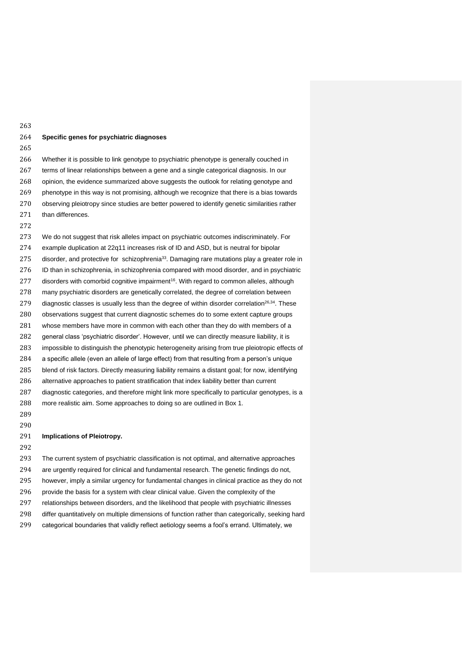#### **Specific genes for psychiatric diagnoses**

 Whether it is possible to link genotype to psychiatric phenotype is generally couched in terms of linear relationships between a gene and a single categorical diagnosis. In our opinion, the evidence summarized above suggests the outlook for relating genotype and phenotype in this way is not promising, although we recognize that there is a bias towards observing pleiotropy since studies are better powered to identify genetic similarities rather 271 than differences.

 We do not suggest that risk alleles impact on psychiatric outcomes indiscriminately. For example duplication at 22q11 increases risk of ID and ASD, but is neutral for bipolar 275 disorder, and protective for schizophrenia<sup>33</sup>. Damaging rare mutations play a greater role in ID than in schizophrenia, in schizophrenia compared with mood disorder, and in psychiatric 277 disorders with comorbid cognitive impairment<sup>16</sup>. With regard to common alleles, although many psychiatric disorders are genetically correlated, the degree of correlation between 279 diagnostic classes is usually less than the degree of within disorder correlation<sup>26,34</sup>. These observations suggest that current diagnostic schemes do to some extent capture groups whose members have more in common with each other than they do with members of a general class 'psychiatric disorder'. However, until we can directly measure liability, it is 283 impossible to distinguish the phenotypic heterogeneity arising from true pleiotropic effects of a specific allele (even an allele of large effect) from that resulting from a person's unique blend of risk factors. Directly measuring liability remains a distant goal; for now, identifying alternative approaches to patient stratification that index liability better than current diagnostic categories, and therefore might link more specifically to particular genotypes, is a more realistic aim. Some approaches to doing so are outlined in Box 1.

 

### **Implications of Pleiotropy.**

 The current system of psychiatric classification is not optimal, and alternative approaches are urgently required for clinical and fundamental research. The genetic findings do not, however, imply a similar urgency for fundamental changes in clinical practice as they do not provide the basis for a system with clear clinical value. Given the complexity of the relationships between disorders, and the likelihood that people with psychiatric illnesses differ quantitatively on multiple dimensions of function rather than categorically, seeking hard categorical boundaries that validly reflect aetiology seems a fool's errand. Ultimately, we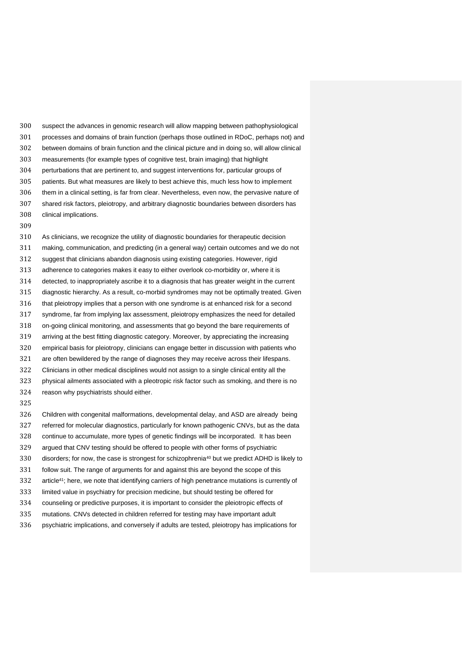suspect the advances in genomic research will allow mapping between pathophysiological processes and domains of brain function (perhaps those outlined in RDoC, perhaps not) and between domains of brain function and the clinical picture and in doing so, will allow clinical measurements (for example types of cognitive test, brain imaging) that highlight perturbations that are pertinent to, and suggest interventions for, particular groups of patients. But what measures are likely to best achieve this, much less how to implement them in a clinical setting, is far from clear. Nevertheless, even now, the pervasive nature of shared risk factors, pleiotropy, and arbitrary diagnostic boundaries between disorders has clinical implications.

 As clinicians, we recognize the utility of diagnostic boundaries for therapeutic decision making, communication, and predicting (in a general way) certain outcomes and we do not suggest that clinicians abandon diagnosis using existing categories. However, rigid adherence to categories makes it easy to either overlook co-morbidity or, where it is detected, to inappropriately ascribe it to a diagnosis that has greater weight in the current diagnostic hierarchy. As a result, co-morbid syndromes may not be optimally treated. Given that pleiotropy implies that a person with one syndrome is at enhanced risk for a second syndrome, far from implying lax assessment, pleiotropy emphasizes the need for detailed on-going clinical monitoring, and assessments that go beyond the bare requirements of arriving at the best fitting diagnostic category. Moreover, by appreciating the increasing empirical basis for pleiotropy, clinicians can engage better in discussion with patients who are often bewildered by the range of diagnoses they may receive across their lifespans. Clinicians in other medical disciplines would not assign to a single clinical entity all the physical ailments associated with a pleotropic risk factor such as smoking, and there is no reason why psychiatrists should either. 

 Children with congenital malformations, developmental delay, and ASD are already being referred for molecular diagnostics, particularly for known pathogenic CNVs, but as the data continue to accumulate, more types of genetic findings will be incorporated. It has been argued that CNV testing should be offered to people with other forms of psychiatric 330 disorders; for now, the case is strongest for schizophrenia<sup>40</sup> but we predict ADHD is likely to follow suit. The range of arguments for and against this are beyond the scope of this 332 article<sup>41</sup>; here, we note that identifying carriers of high penetrance mutations is currently of limited value in psychiatry for precision medicine, but should testing be offered for counseling or predictive purposes, it is important to consider the pleiotropic effects of mutations. CNVs detected in children referred for testing may have important adult psychiatric implications, and conversely if adults are tested, pleiotropy has implications for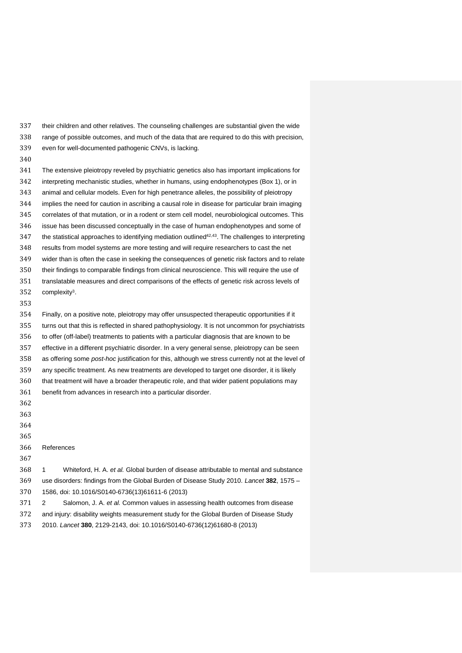their children and other relatives. The counseling challenges are substantial given the wide range of possible outcomes, and much of the data that are required to do this with precision, even for well-documented pathogenic CNVs, is lacking.

 The extensive pleiotropy reveled by psychiatric genetics also has important implications for interpreting mechanistic studies, whether in humans, using endophenotypes (Box 1), or in animal and cellular models. Even for high penetrance alleles, the possibility of pleiotropy implies the need for caution in ascribing a causal role in disease for particular brain imaging correlates of that mutation, or in a rodent or stem cell model, neurobiological outcomes. This issue has been discussed conceptually in the case of human endophenotypes and some of 347 the statistical approaches to identifying mediation outlined<sup>42,43</sup>. The challenges to interpreting results from model systems are more testing and will require researchers to cast the net wider than is often the case in seeking the consequences of genetic risk factors and to relate their findings to comparable findings from clinical neuroscience. This will require the use of translatable measures and direct comparisons of the effects of genetic risk across levels of 352 complexity<sup>3</sup>.

#### 

 Finally, on a positive note, pleiotropy may offer unsuspected therapeutic opportunities if it turns out that this is reflected in shared pathophysiology. It is not uncommon for psychiatrists to offer (off-label) treatments to patients with a particular diagnosis that are known to be effective in a different psychiatric disorder. In a very general sense, pleiotropy can be seen 358 as offering some *post-hoc* justification for this, although we stress currently not at the level of any specific treatment. As new treatments are developed to target one disorder, it is likely that treatment will have a broader therapeutic role, and that wider patient populations may benefit from advances in research into a particular disorder. 

- 
- 
- 
- 

## References

 1 Whiteford, H. A. et al. Global burden of disease attributable to mental and substance use disorders: findings from the Global Burden of Disease Study 2010. Lancet **382**, 1575 – 1586, doi: 10.1016/S0140-6736(13)61611-6 (2013)

371 2 Salomon, J. A. et al. Common values in assessing health outcomes from disease

 and injury: disability weights measurement study for the Global Burden of Disease Study 2010. Lancet **380**, 2129-2143, doi: 10.1016/S0140-6736(12)61680-8 (2013)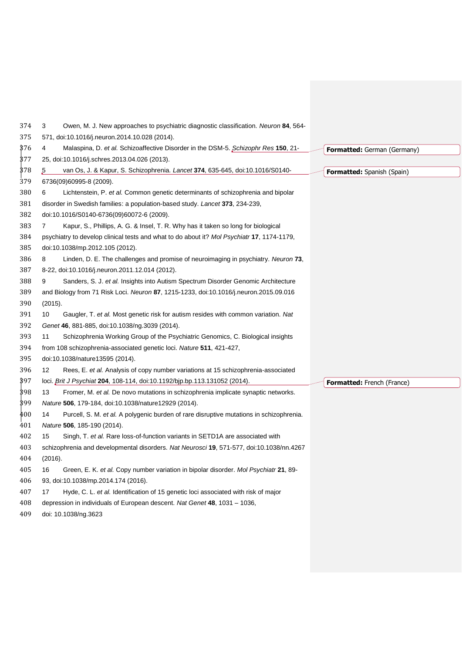| 374 | Owen, M. J. New approaches to psychiatric diagnostic classification. Neuron 84, 564-<br>3     |                                    |
|-----|-----------------------------------------------------------------------------------------------|------------------------------------|
| 375 | 571, doi:10.1016/j.neuron.2014.10.028 (2014).                                                 |                                    |
| 376 | Malaspina, D. et al. Schizoaffective Disorder in the DSM-5. Schizophr Res 150, 21-<br>4       | <b>Formatted:</b> German (Germany) |
| 377 | 25, doi:10.1016/j.schres.2013.04.026 (2013).                                                  |                                    |
| 378 | 5<br>van Os, J. & Kapur, S. Schizophrenia. Lancet 374, 635-645, doi:10.1016/S0140-            | <b>Formatted:</b> Spanish (Spain)  |
| 379 | 6736(09)60995-8 (2009).                                                                       |                                    |
| 380 | Lichtenstein, P. et al. Common genetic determinants of schizophrenia and bipolar<br>6         |                                    |
| 381 | disorder in Swedish families: a population-based study. Lancet 373, 234-239,                  |                                    |
| 382 | doi:10.1016/S0140-6736(09)60072-6 (2009).                                                     |                                    |
| 383 | Kapur, S., Phillips, A. G. & Insel, T. R. Why has it taken so long for biological<br>7        |                                    |
| 384 | psychiatry to develop clinical tests and what to do about it? Mol Psychiatr 17, 1174-1179,    |                                    |
| 385 | doi:10.1038/mp.2012.105 (2012).                                                               |                                    |
| 386 | Linden, D. E. The challenges and promise of neuroimaging in psychiatry. Neuron 73,<br>8       |                                    |
| 387 | 8-22, doi:10.1016/j.neuron.2011.12.014 (2012).                                                |                                    |
| 388 | Sanders, S. J. et al. Insights into Autism Spectrum Disorder Genomic Architecture<br>9        |                                    |
| 389 | and Biology from 71 Risk Loci. Neuron 87, 1215-1233, doi:10.1016/j.neuron.2015.09.016         |                                    |
| 390 | (2015).                                                                                       |                                    |
| 391 | 10<br>Gaugler, T. et al. Most genetic risk for autism resides with common variation. Nat      |                                    |
| 392 | Genet 46, 881-885, doi:10.1038/ng.3039 (2014).                                                |                                    |
| 393 | Schizophrenia Working Group of the Psychiatric Genomics, C. Biological insights<br>11         |                                    |
| 394 | from 108 schizophrenia-associated genetic loci. Nature 511, 421-427,                          |                                    |
| 395 | doi:10.1038/nature13595 (2014).                                                               |                                    |
| 396 | 12<br>Rees, E. et al. Analysis of copy number variations at 15 schizophrenia-associated       |                                    |
| 397 | loci. <i>Brit J Psychiat</i> 204, 108-114, doi:10.1192/bjp.bp.113.131052 (2014).              | <b>Formatted:</b> French (France)  |
| 398 | Fromer, M. et al. De novo mutations in schizophrenia implicate synaptic networks.<br>13       |                                    |
| 399 | Nature 506, 179-184, doi:10.1038/nature12929 (2014).                                          |                                    |
| 400 | Purcell, S. M. et al. A polygenic burden of rare disruptive mutations in schizophrenia.<br>14 |                                    |
| 401 | Nature 506, 185-190 (2014).                                                                   |                                    |
| 402 | 15<br>Singh, T. et al. Rare loss-of-function variants in SETD1A are associated with           |                                    |
| 403 | schizophrenia and developmental disorders. Nat Neurosci 19, 571-577, doi:10.1038/nn.4267      |                                    |
| 404 | (2016).                                                                                       |                                    |
| 405 | Green, E. K. et al. Copy number variation in bipolar disorder. Mol Psychiatr 21, 89-<br>16    |                                    |
| 406 | 93, doi:10.1038/mp.2014.174 (2016).                                                           |                                    |
| 407 | 17<br>Hyde, C. L. et al. Identification of 15 genetic loci associated with risk of major      |                                    |
| 408 | depression in individuals of European descent. Nat Genet 48, 1031 - 1036,                     |                                    |
| 409 | doi: 10.1038/ng.3623                                                                          |                                    |
|     |                                                                                               |                                    |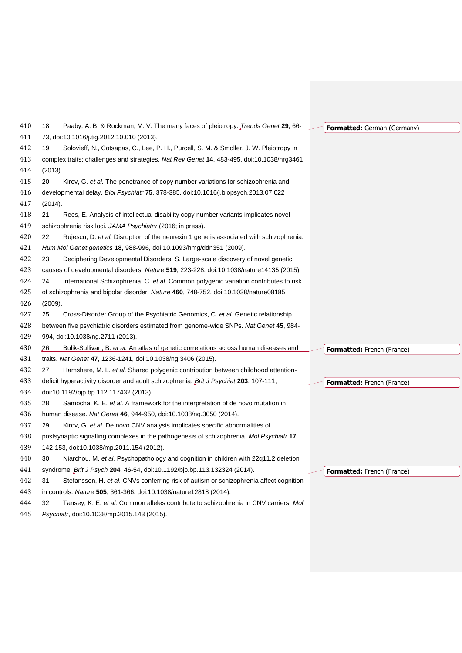| 410 | 18<br>Paaby, A. B. & Rockman, M. V. The many faces of pleiotropy. Trends Genet 29, 66-       | <b>Formatted:</b> German (Germany) |
|-----|----------------------------------------------------------------------------------------------|------------------------------------|
| 411 | 73, doi:10.1016/j.tig.2012.10.010 (2013).                                                    |                                    |
| 412 | Solovieff, N., Cotsapas, C., Lee, P. H., Purcell, S. M. & Smoller, J. W. Pleiotropy in<br>19 |                                    |
| 413 | complex traits: challenges and strategies. Nat Rev Genet 14, 483-495, doi:10.1038/nrg3461    |                                    |
| 414 | (2013).                                                                                      |                                    |
| 415 | 20<br>Kirov, G. et al. The penetrance of copy number variations for schizophrenia and        |                                    |
| 416 | developmental delay. Biol Psychiatr 75, 378-385, doi:10.1016/j.biopsych.2013.07.022          |                                    |
| 417 | (2014).                                                                                      |                                    |
| 418 | 21<br>Rees, E. Analysis of intellectual disability copy number variants implicates novel     |                                    |
| 419 | schizophrenia risk loci. JAMA Psychiatry (2016; in press).                                   |                                    |
| 420 | 22<br>Rujescu, D. et al. Disruption of the neurexin 1 gene is associated with schizophrenia. |                                    |
| 421 | Hum Mol Genet genetics 18, 988-996, doi:10.1093/hmg/ddn351 (2009).                           |                                    |
| 422 | 23<br>Deciphering Developmental Disorders, S. Large-scale discovery of novel genetic         |                                    |
| 423 | causes of developmental disorders. Nature 519, 223-228, doi:10.1038/nature14135 (2015).      |                                    |
| 424 | 24<br>International Schizophrenia, C. et al. Common polygenic variation contributes to risk  |                                    |
| 425 | of schizophrenia and bipolar disorder. Nature 460, 748-752, doi:10.1038/nature08185          |                                    |
| 426 | (2009).                                                                                      |                                    |
| 427 | 25<br>Cross-Disorder Group of the Psychiatric Genomics, C. et al. Genetic relationship       |                                    |
| 428 | between five psychiatric disorders estimated from genome-wide SNPs. Nat Genet 45, 984-       |                                    |
| 429 | 994, doi:10.1038/ng.2711 (2013).                                                             |                                    |
| 430 | 26<br>Bulik-Sullivan, B. et al. An atlas of genetic correlations across human diseases and   | <b>Formatted:</b> French (France)  |
| 431 | traits. Nat Genet 47, 1236-1241, doi:10.1038/ng.3406 (2015).                                 |                                    |
| 432 | 27<br>Hamshere, M. L. et al. Shared polygenic contribution between childhood attention-      |                                    |
| 433 | deficit hyperactivity disorder and adult schizophrenia. <i>Brit J Psychiat</i> 203, 107-111, | <b>Formatted:</b> French (France)  |
| 434 | doi:10.1192/bjp.bp.112.117432 (2013).                                                        |                                    |
| 435 | 28<br>Samocha, K. E. et al. A framework for the interpretation of de novo mutation in        |                                    |
| 436 | human disease. Nat Genet 46, 944-950, doi:10.1038/ng.3050 (2014).                            |                                    |
| 437 | 29<br>Kirov, G. et al. De novo CNV analysis implicates specific abnormalities of             |                                    |
| 438 | postsynaptic signalling complexes in the pathogenesis of schizophrenia. Mol Psychiatr 17,    |                                    |
| 439 | 142-153, doi:10.1038/mp.2011.154 (2012).                                                     |                                    |
| 440 | 30<br>Niarchou, M. et al. Psychopathology and cognition in children with 22q11.2 deletion    |                                    |
| 441 | syndrome. <i>Brit J Psych</i> 204, 46-54, doi:10.1192/bjp.bp.113.132324 (2014).              | <b>Formatted:</b> French (France)  |
| 442 | 31<br>Stefansson, H. et al. CNVs conferring risk of autism or schizophrenia affect cognition |                                    |
| 443 | in controls. Nature 505, 361-366, doi:10.1038/nature12818 (2014).                            |                                    |
| 444 | 32<br>Tansey, K. E. et al. Common alleles contribute to schizophrenia in CNV carriers. Mol   |                                    |
| 445 | Psychiatr, doi:10.1038/mp.2015.143 (2015).                                                   |                                    |
|     |                                                                                              |                                    |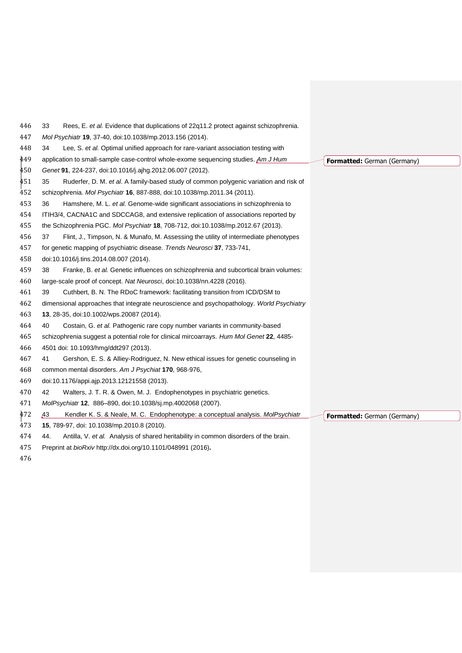| 446 | 33<br>Rees, E. et al. Evidence that duplications of 22q11.2 protect against schizophrenia.        |                             |
|-----|---------------------------------------------------------------------------------------------------|-----------------------------|
| 447 | Mol Psychiatr 19, 37-40, doi:10.1038/mp.2013.156 (2014).                                          |                             |
| 448 | Lee, S. et al. Optimal unified approach for rare-variant association testing with<br>34           |                             |
| 449 | application to small-sample case-control whole-exome sequencing studies. Am J Hum                 | Formatted: German (Germany) |
| 450 | Genet 91, 224-237, doi:10.1016/j.ajhg.2012.06.007 (2012).                                         |                             |
| 451 | 35<br>Ruderfer, D. M. et al. A family-based study of common polygenic variation and risk of       |                             |
| 452 | schizophrenia. Mol Psychiatr 16, 887-888, doi:10.1038/mp.2011.34 (2011).                          |                             |
| 453 | Hamshere, M. L. et al. Genome-wide significant associations in schizophrenia to<br>36             |                             |
| 454 | ITIH3/4, CACNA1C and SDCCAG8, and extensive replication of associations reported by               |                             |
| 455 | the Schizophrenia PGC. Mol Psychiatr 18, 708-712, doi:10.1038/mp.2012.67 (2013).                  |                             |
| 456 | Flint, J., Timpson, N. & Munafo, M. Assessing the utility of intermediate phenotypes<br>37        |                             |
| 457 | for genetic mapping of psychiatric disease. Trends Neurosci 37, 733-741,                          |                             |
| 458 | doi:10.1016/j.tins.2014.08.007 (2014).                                                            |                             |
| 459 | 38<br>Franke, B. et al. Genetic influences on schizophrenia and subcortical brain volumes:        |                             |
| 460 | large-scale proof of concept. Nat Neurosci, doi:10.1038/nn.4228 (2016).                           |                             |
| 461 | 39<br>Cuthbert, B. N. The RDoC framework: facilitating transition from ICD/DSM to                 |                             |
| 462 | dimensional approaches that integrate neuroscience and psychopathology. World Psychiatry          |                             |
| 463 | 13, 28-35, doi:10.1002/wps.20087 (2014).                                                          |                             |
| 464 | Costain, G. et al. Pathogenic rare copy number variants in community-based<br>40                  |                             |
| 465 | schizophrenia suggest a potential role for clinical mircoarrays. Hum Mol Genet 22, 4485-          |                             |
| 466 | 4501 doi: 10.1093/hmg/ddt297 (2013).                                                              |                             |
| 467 | Gershon, E. S. & Alliey-Rodriguez, N. New ethical issues for genetic counseling in<br>41          |                             |
| 468 | common mental disorders. Am J Psychiat 170, 968-976,                                              |                             |
| 469 | doi:10.1176/appi.ajp.2013.12121558 (2013).                                                        |                             |
| 470 | 42<br>Walters, J. T. R. & Owen, M. J. Endophenotypes in psychiatric genetics.                     |                             |
| 471 | MolPsychiatr 12, 886-890, doi:10.1038/sj.mp.4002068 (2007).                                       |                             |
| 472 | A <sub>3</sub><br>Kendler K. S. & Neale, M. C. Endophenotype: a conceptual analysis. MolPsychiatr | Formatted: German (Germany) |
| 473 | 15, 789-97, doi: 10.1038/mp.2010.8 (2010).                                                        |                             |
| 474 | Antilla, V. et al. Analysis of shared heritability in common disorders of the brain.<br>44.       |                             |
| 475 | Preprint at bioRxiv http://dx.doi.org/10.1101/048991 (2016).                                      |                             |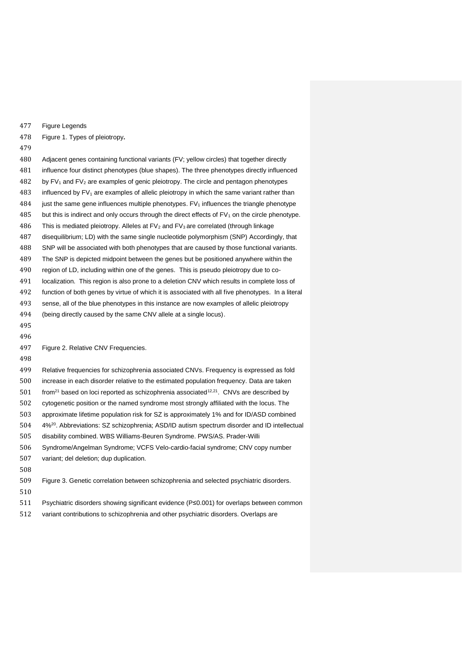Figure Legends

Figure 1. Types of pleiotropy**.** 

 Adjacent genes containing functional variants (FV; yellow circles) that together directly influence four distinct phenotypes (blue shapes). The three phenotypes directly influenced by FV<sub>1</sub> and FV<sub>2</sub> are examples of genic pleiotropy. The circle and pentagon phenotypes 483 influenced by  $FV_1$  are examples of allelic pleiotropy in which the same variant rather than just the same gene influences multiple phenotypes. FV<sub>1</sub> influences the triangle phenotype 485 but this is indirect and only occurs through the direct effects of  $FV_1$  on the circle phenotype. This is mediated pleiotropy. Alleles at FV<sub>2</sub> and FV<sub>3</sub> are correlated (through linkage disequilibrium; LD) with the same single nucleotide polymorphism (SNP) Accordingly, that SNP will be associated with both phenotypes that are caused by those functional variants. The SNP is depicted midpoint between the genes but be positioned anywhere within the region of LD, including within one of the genes. This is pseudo pleiotropy due to co- localization. This region is also prone to a deletion CNV which results in complete loss of function of both genes by virtue of which it is associated with all five phenotypes. In a literal sense, all of the blue phenotypes in this instance are now examples of allelic pleiotropy (being directly caused by the same CNV allele at a single locus). Figure 2. Relative CNV Frequencies.

 Relative frequencies for schizophrenia associated CNVs. Frequency is expressed as fold increase in each disorder relative to the estimated population frequency. Data are taken from<sup>21</sup> based on loci reported as schizophrenia associated<sup>12,21</sup>. CNVs are described by cytogenetic position or the named syndrome most strongly affiliated with the locus. The approximate lifetime population risk for SZ is approximately 1% and for ID/ASD combined 4%<sup>20</sup> . Abbreviations: SZ schizophrenia; ASD/ID autism spectrum disorder and ID intellectual disability combined. WBS Williams-Beuren Syndrome. PWS/AS. Prader-Willi Syndrome/Angelman Syndrome; VCFS Velo-cardio-facial syndrome; CNV copy number variant; del deletion; dup duplication. 

- Figure 3. Genetic correlation between schizophrenia and selected psychiatric disorders.
- 
- Psychiatric disorders showing significant evidence (P≤0.001) for overlaps between common
- variant contributions to schizophrenia and other psychiatric disorders. Overlaps are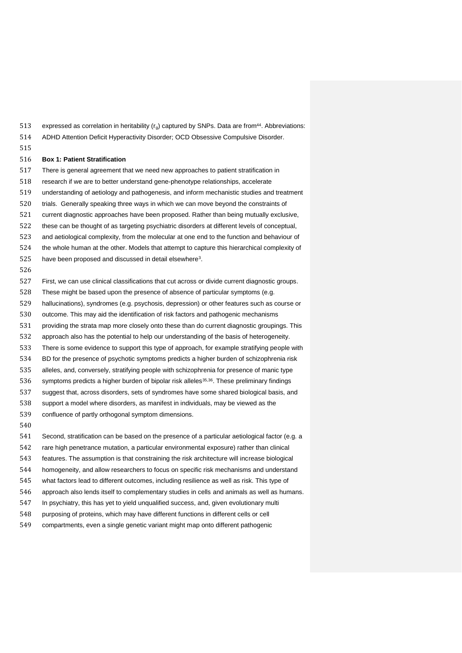- 513 expressed as correlation in heritability  $(r<sub>a</sub>)$  captured by SNPs. Data are from<sup>44</sup>. Abbreviations: ADHD Attention Deficit Hyperactivity Disorder; OCD Obsessive Compulsive Disorder.
- 

#### **Box 1: Patient Stratification**

 There is general agreement that we need new approaches to patient stratification in research if we are to better understand gene-phenotype relationships, accelerate understanding of aetiology and pathogenesis, and inform mechanistic studies and treatment trials. Generally speaking three ways in which we can move beyond the constraints of current diagnostic approaches have been proposed. Rather than being mutually exclusive, these can be thought of as targeting psychiatric disorders at different levels of conceptual, and aetiological complexity, from the molecular at one end to the function and behaviour of the whole human at the other. Models that attempt to capture this hierarchical complexity of 525 have been proposed and discussed in detail elsewhere<sup>3</sup>. 

 First, we can use clinical classifications that cut across or divide current diagnostic groups. These might be based upon the presence of absence of particular symptoms (e.g. hallucinations), syndromes (e.g. psychosis, depression) or other features such as course or outcome. This may aid the identification of risk factors and pathogenic mechanisms providing the strata map more closely onto these than do current diagnostic groupings. This approach also has the potential to help our understanding of the basis of heterogeneity. There is some evidence to support this type of approach, for example stratifying people with BD for the presence of psychotic symptoms predicts a higher burden of schizophrenia risk alleles, and, conversely, stratifying people with schizophrenia for presence of manic type 536 symptoms predicts a higher burden of bipolar risk alleles<sup>35,36</sup>. These preliminary findings suggest that, across disorders, sets of syndromes have some shared biological basis, and support a model where disorders, as manifest in individuals, may be viewed as the confluence of partly orthogonal symptom dimensions. 

 Second, stratification can be based on the presence of a particular aetiological factor (e.g. a rare high penetrance mutation, a particular environmental exposure) rather than clinical features. The assumption is that constraining the risk architecture will increase biological homogeneity, and allow researchers to focus on specific risk mechanisms and understand what factors lead to different outcomes, including resilience as well as risk. This type of approach also lends itself to complementary studies in cells and animals as well as humans. In psychiatry, this has yet to yield unqualified success, and, given evolutionary multi purposing of proteins, which may have different functions in different cells or cell compartments, even a single genetic variant might map onto different pathogenic